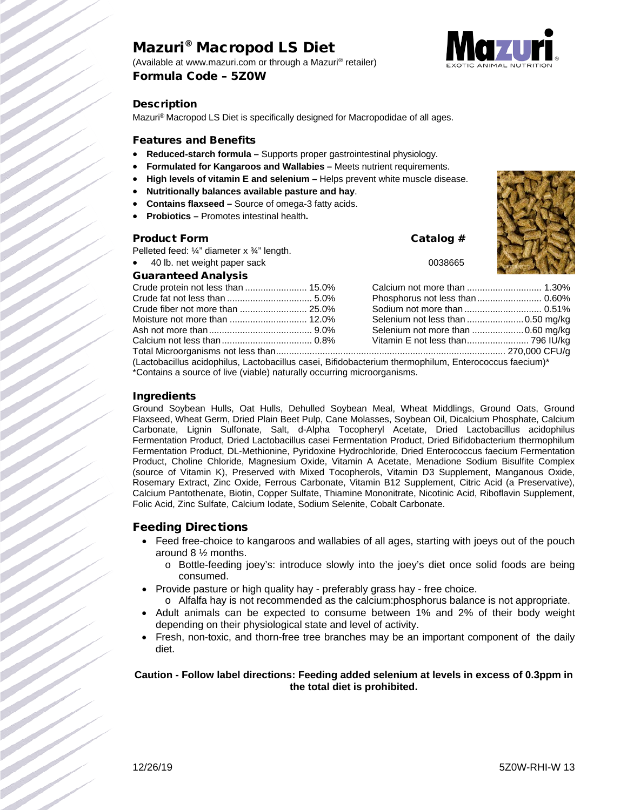# Mazuri® Macropod LS Diet

(Available at www.mazuri.com or through a Mazuri® retailer) Formula Code – 5Z0W



## **Description**

Mazuri® Macropod LS Diet is specifically designed for Macropodidae of all ages.

#### Features and Benefits

- **Reduced-starch formula –** Supports proper gastrointestinal physiology.
- **Formulated for Kangaroos and Wallabies –** Meets nutrient requirements.
- **High levels of vitamin E and selenium –** Helps prevent white muscle disease.
- **Nutritionally balances available pasture and hay**.
- **Contains flaxseed –** Source of omega-3 fatty acids.
- **Probiotics –** Promotes intestinal health**.**

#### Product Form Catalog #

Pelleted feed: ¼" diameter x ¾" length.

40 lb. net weight paper sack 0038665

### Guaranteed Analysis



| $\mu$ actobacilius acidentius Laetobacilius essai. Bifidebacterium thermophilum Enterpreseus faceium $^*$ |  |  |  |  |
|-----------------------------------------------------------------------------------------------------------|--|--|--|--|

(Lactobacillus acidophilus, Lactobacillus casei, Bifidobacterium thermophilum, Enterococcus faecium)\* \*Contains a source of live (viable) naturally occurring microorganisms.

#### Ingredients

Ground Soybean Hulls, Oat Hulls, Dehulled Soybean Meal, Wheat Middlings, Ground Oats, Ground Flaxseed, Wheat Germ, Dried Plain Beet Pulp, Cane Molasses, Soybean Oil, Dicalcium Phosphate, Calcium Carbonate, Lignin Sulfonate, Salt, d-Alpha Tocopheryl Acetate, Dried Lactobacillus acidophilus Fermentation Product, Dried Lactobacillus casei Fermentation Product, Dried Bifidobacterium thermophilum Fermentation Product, DL-Methionine, Pyridoxine Hydrochloride, Dried Enterococcus faecium Fermentation Product, Choline Chloride, Magnesium Oxide, Vitamin A Acetate, Menadione Sodium Bisulfite Complex (source of Vitamin K), Preserved with Mixed Tocopherols, Vitamin D3 Supplement, Manganous Oxide, Rosemary Extract, Zinc Oxide, Ferrous Carbonate, Vitamin B12 Supplement, Citric Acid (a Preservative), Calcium Pantothenate, Biotin, Copper Sulfate, Thiamine Mononitrate, Nicotinic Acid, Riboflavin Supplement, Folic Acid, Zinc Sulfate, Calcium Iodate, Sodium Selenite, Cobalt Carbonate.

## Feeding Directions

- Feed free-choice to kangaroos and wallabies of all ages, starting with joeys out of the pouch around 8 ½ months.
	- o Bottle-feeding joey's: introduce slowly into the joey's diet once solid foods are being consumed.
- Provide pasture or high quality hay preferably grass hay free choice.
	- o Alfalfa hay is not recommended as the calcium:phosphorus balance is not appropriate.
- Adult animals can be expected to consume between 1% and 2% of their body weight depending on their physiological state and level of activity.
- Fresh, non-toxic, and thorn-free tree branches may be an important component of the daily diet.

#### **Caution - Follow label directions: Feeding added selenium at levels in excess of 0.3ppm in the total diet is prohibited.**